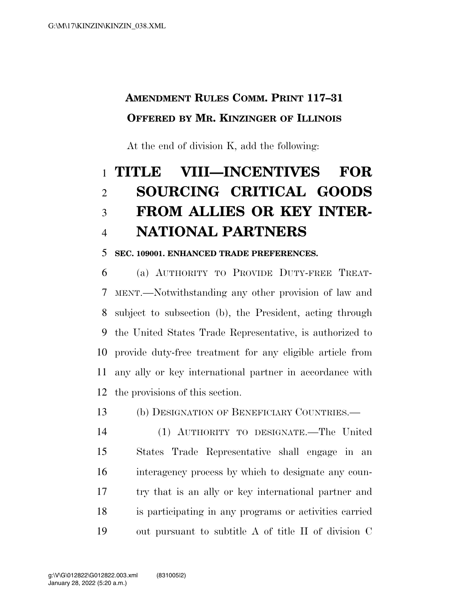### **AMENDMENT RULES COMM. PRINT 117–31 OFFERED BY MR. KINZINGER OF ILLINOIS**

At the end of division K, add the following:

# **TITLE VIII—INCENTIVES FOR SOURCING CRITICAL GOODS FROM ALLIES OR KEY INTER-NATIONAL PARTNERS**

#### **SEC. 109001. ENHANCED TRADE PREFERENCES.**

 (a) AUTHORITY TO PROVIDE DUTY-FREE TREAT- MENT.—Notwithstanding any other provision of law and subject to subsection (b), the President, acting through the United States Trade Representative, is authorized to provide duty-free treatment for any eligible article from any ally or key international partner in accordance with the provisions of this section.

(b) DESIGNATION OF BENEFICIARY COUNTRIES.—

 (1) AUTHORITY TO DESIGNATE.—The United States Trade Representative shall engage in an interagency process by which to designate any coun- try that is an ally or key international partner and is participating in any programs or activities carried out pursuant to subtitle A of title II of division C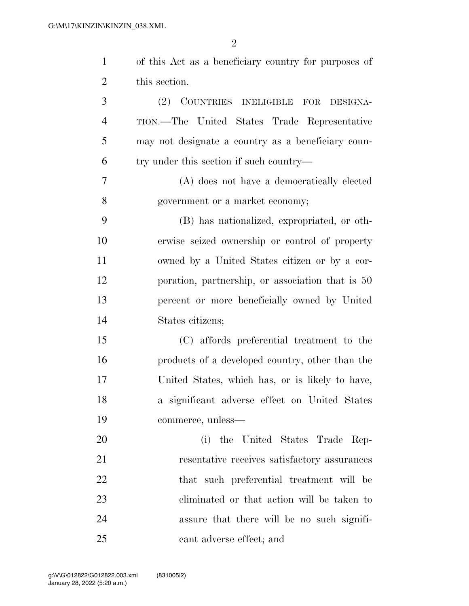| $\mathbf{1}$   | of this Act as a beneficiary country for purposes of |
|----------------|------------------------------------------------------|
| $\overline{2}$ | this section.                                        |
| 3              | (2) COUNTRIES INELIGIBLE<br>FOR DESIGNA-             |
| $\overline{4}$ | TION.—The United States Trade Representative         |
| 5              | may not designate a country as a beneficiary coun-   |
| 6              | try under this section if such country—              |
| 7              | (A) does not have a democratically elected           |
| 8              | government or a market economy;                      |
| 9              | (B) has nationalized, expropriated, or oth-          |
| 10             | erwise seized ownership or control of property       |
| 11             | owned by a United States citizen or by a cor-        |
| 12             | poration, partnership, or association that is 50     |
| 13             | percent or more beneficially owned by United         |
| 14             | States citizens;                                     |
| 15             | (C) affords preferential treatment to the            |
| 16             | products of a developed country, other than the      |
| 17             | United States, which has, or is likely to have,      |
| 18             | a significant adverse effect on United States        |
| 19             | commerce, unless—                                    |
| 20             | (i) the United States Trade Rep-                     |
| 21             | resentative receives satisfactory assurances         |
| 22             | that such preferential treatment will be             |
| 23             | eliminated or that action will be taken to           |
| 24             | assure that there will be no such signifi-           |
| 25             | cant adverse effect; and                             |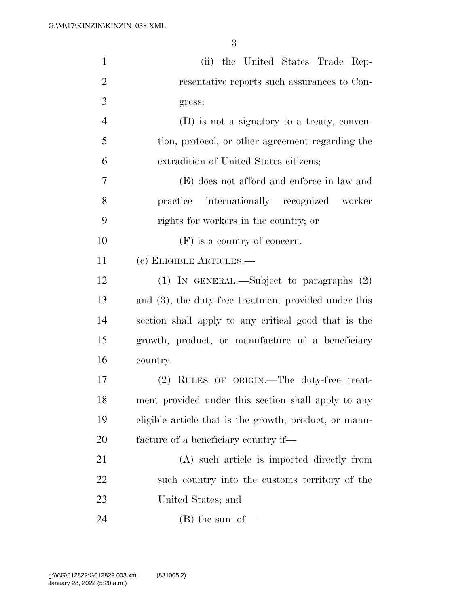| $\mathbf{1}$   | (ii) the United States Trade Rep-                       |
|----------------|---------------------------------------------------------|
| $\overline{2}$ | resentative reports such assurances to Con-             |
| 3              | gress;                                                  |
| $\overline{4}$ | (D) is not a signatory to a treaty, conven-             |
| 5              | tion, protocol, or other agreement regarding the        |
| 6              | extradition of United States citizens;                  |
| 7              | (E) does not afford and enforce in law and              |
| 8              | practice internationally recognized worker              |
| 9              | rights for workers in the country; or                   |
| 10             | $(F)$ is a country of concern.                          |
| 11             | (c) ELIGIBLE ARTICLES.—                                 |
| 12             | (1) IN GENERAL.—Subject to paragraphs $(2)$             |
| 13             | and $(3)$ , the duty-free treatment provided under this |
| 14             | section shall apply to any critical good that is the    |
| 15             | growth, product, or manufacture of a beneficiary        |
| 16             | country.                                                |
| 17             | (2) RULES OF ORIGIN.—The duty-free treat-               |
| 18             | ment provided under this section shall apply to any     |
| 19             | eligible article that is the growth, product, or manu-  |
| 20             | facture of a beneficiary country if—                    |
| 21             | (A) such article is imported directly from              |
| 22             | such country into the customs territory of the          |
| 23             | United States; and                                      |
| 24             | $(B)$ the sum of —                                      |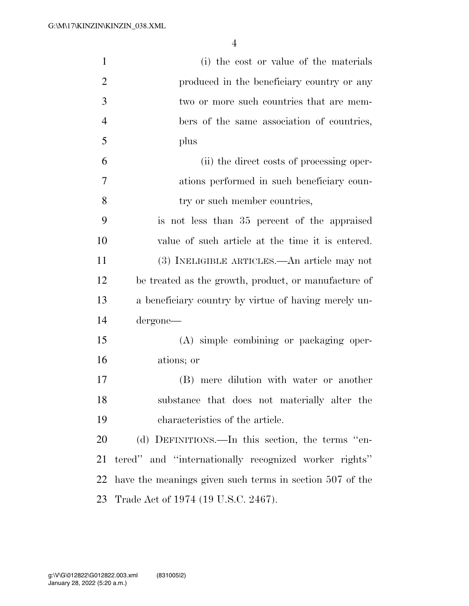| $\mathbf{1}$   | (i) the cost or value of the materials                   |
|----------------|----------------------------------------------------------|
| $\overline{2}$ | produced in the beneficiary country or any               |
| 3              | two or more such countries that are mem-                 |
| $\overline{4}$ | bers of the same association of countries,               |
| 5              | plus                                                     |
| 6              | (ii) the direct costs of processing oper-                |
| $\overline{7}$ | ations performed in such beneficiary coun-               |
| 8              | try or such member countries,                            |
| 9              | is not less than 35 percent of the appraised             |
| 10             | value of such article at the time it is entered.         |
| 11             | (3) INELIGIBLE ARTICLES.—An article may not              |
| 12             | be treated as the growth, product, or manufacture of     |
| 13             | a beneficiary country by virtue of having merely un-     |
| 14             | dergone—                                                 |
| 15             | (A) simple combining or packaging oper-                  |
| 16             | ations; or                                               |
| 17             | (B) mere dilution with water or another                  |
| 18             | substance that does not materially alter the             |
| 19             | characteristics of the article.                          |
| 20             | (d) DEFINITIONS.—In this section, the terms "en-         |
| 21             | tered" and "internationally recognized worker rights"    |
| 22             | have the meanings given such terms in section 507 of the |
| 23             | Trade Act of 1974 (19 U.S.C. 2467).                      |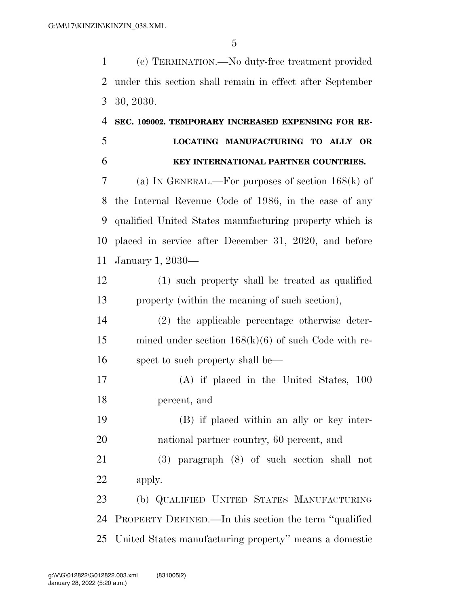(e) TERMINATION.—No duty-free treatment provided under this section shall remain in effect after September 30, 2030.

## **SEC. 109002. TEMPORARY INCREASED EXPENSING FOR RE- LOCATING MANUFACTURING TO ALLY OR KEY INTERNATIONAL PARTNER COUNTRIES.**

 (a) IN GENERAL.—For purposes of section 168(k) of the Internal Revenue Code of 1986, in the case of any qualified United States manufacturing property which is placed in service after December 31, 2020, and before January 1, 2030—

 (1) such property shall be treated as qualified property (within the meaning of such section),

 (2) the applicable percentage otherwise deter- mined under section 168(k)(6) of such Code with re-spect to such property shall be—

 (A) if placed in the United States, 100 percent, and

 (B) if placed within an ally or key inter-national partner country, 60 percent, and

 (3) paragraph (8) of such section shall not apply.

 (b) QUALIFIED UNITED STATES MANUFACTURING PROPERTY DEFINED.—In this section the term ''qualified United States manufacturing property'' means a domestic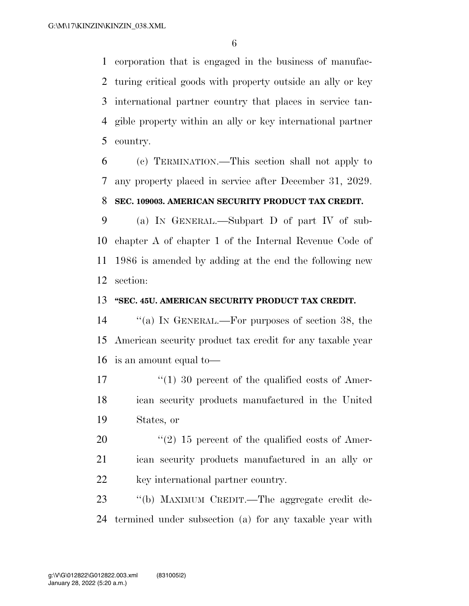corporation that is engaged in the business of manufac- turing critical goods with property outside an ally or key international partner country that places in service tan- gible property within an ally or key international partner country.

 (c) TERMINATION.—This section shall not apply to any property placed in service after December 31, 2029.

#### **SEC. 109003. AMERICAN SECURITY PRODUCT TAX CREDIT.**

 (a) IN GENERAL.—Subpart D of part IV of sub- chapter A of chapter 1 of the Internal Revenue Code of 1986 is amended by adding at the end the following new section:

#### **''SEC. 45U. AMERICAN SECURITY PRODUCT TAX CREDIT.**

 ''(a) IN GENERAL.—For purposes of section 38, the American security product tax credit for any taxable year is an amount equal to—

17  $\frac{17}{20}$  are 11 30 percent of the qualified costs of Amer- ican security products manufactured in the United States, or

 ''(2) 15 percent of the qualified costs of Amer- ican security products manufactured in an ally or 22 key international partner country.

 ''(b) MAXIMUM CREDIT.—The aggregate credit de-termined under subsection (a) for any taxable year with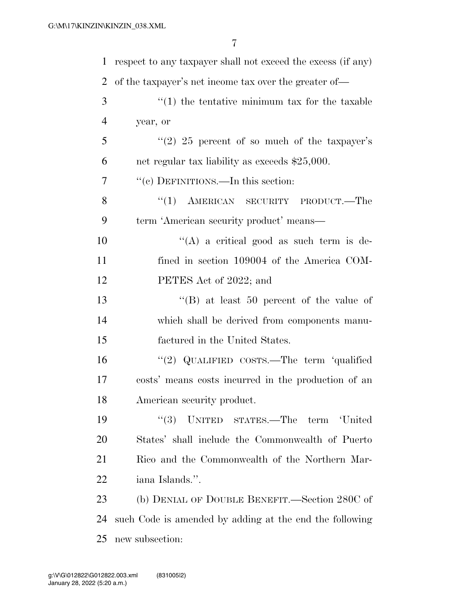| 1  | respect to any taxpayer shall not exceed the excess (if any) |
|----|--------------------------------------------------------------|
| 2  | of the taxpayer's net income tax over the greater of—        |
| 3  | $f(1)$ the tentative minimum tax for the taxable             |
| 4  | year, or                                                     |
| 5  | $\lq(2)$ 25 percent of so much of the taxpayer's             |
| 6  | net regular tax liability as exceeds \$25,000.               |
| 7  | "(c) DEFINITIONS.—In this section:                           |
| 8  | "(1) AMERICAN SECURITY PRODUCT.—The                          |
| 9  | term 'American security product' means-                      |
| 10 | "(A) a critical good as such term is de-                     |
| 11 | fined in section 109004 of the America COM-                  |
| 12 | PETES Act of 2022; and                                       |
| 13 | "(B) at least 50 percent of the value of                     |
| 14 | which shall be derived from components manu-                 |
| 15 | factured in the United States.                               |
| 16 | "(2) QUALIFIED COSTS.—The term 'qualified                    |
| 17 | costs' means costs incurred in the production of an          |
| 18 | American security product.                                   |
| 19 | (3)<br>UNITED STATES.—The term 'United                       |
| 20 | States' shall include the Commonwealth of Puerto             |
| 21 | Rico and the Commonwealth of the Northern Mar-               |
| 22 | iana Islands.".                                              |
| 23 | (b) DENIAL OF DOUBLE BENEFIT.—Section 280C of                |
| 24 | such Code is amended by adding at the end the following      |
| 25 | new subsection:                                              |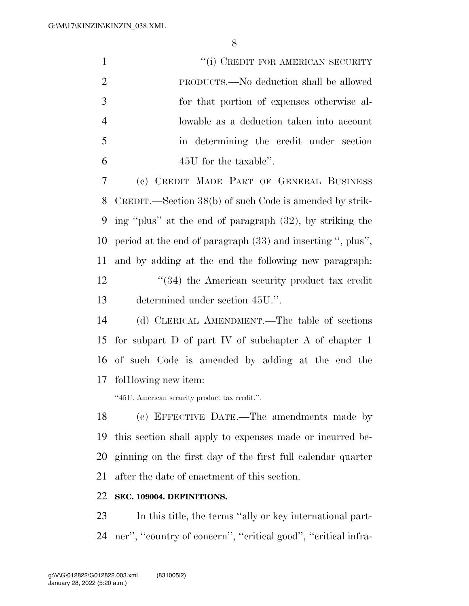| $\mathbf{1}$   | "(i) CREDIT FOR AMERICAN SECURITY                           |
|----------------|-------------------------------------------------------------|
| $\overline{2}$ | PRODUCTS.—No deduction shall be allowed                     |
| 3              | for that portion of expenses otherwise al-                  |
| $\overline{4}$ | lowable as a deduction taken into account                   |
| 5              | in determining the credit under section                     |
| 6              | 45U for the taxable".                                       |
| 7              | (c) CREDIT MADE PART OF GENERAL BUSINESS                    |
| 8              | CREDIT.—Section 38(b) of such Code is amended by strik-     |
| 9              | ing "plus" at the end of paragraph (32), by striking the    |
| 10             | period at the end of paragraph (33) and inserting ", plus", |
| 11             | and by adding at the end the following new paragraph.       |
| 12             | "(34) the American security product tax credit              |
| 13             | determined under section 45U.".                             |
| 14             | (d) CLERICAL AMENDMENT.—The table of sections               |
| 15             | for subpart $D$ of part IV of subchapter $A$ of chapter 1   |
| 16             | of such Code is amended by adding at the end the            |
| 17             | following new item:                                         |
|                | "45U. American security product tax credit.".               |

 (e) EFFECTIVE DATE.—The amendments made by this section shall apply to expenses made or incurred be- ginning on the first day of the first full calendar quarter after the date of enactment of this section.

#### **SEC. 109004. DEFINITIONS.**

 In this title, the terms ''ally or key international part-ner'', ''country of concern'', ''critical good'', ''critical infra-